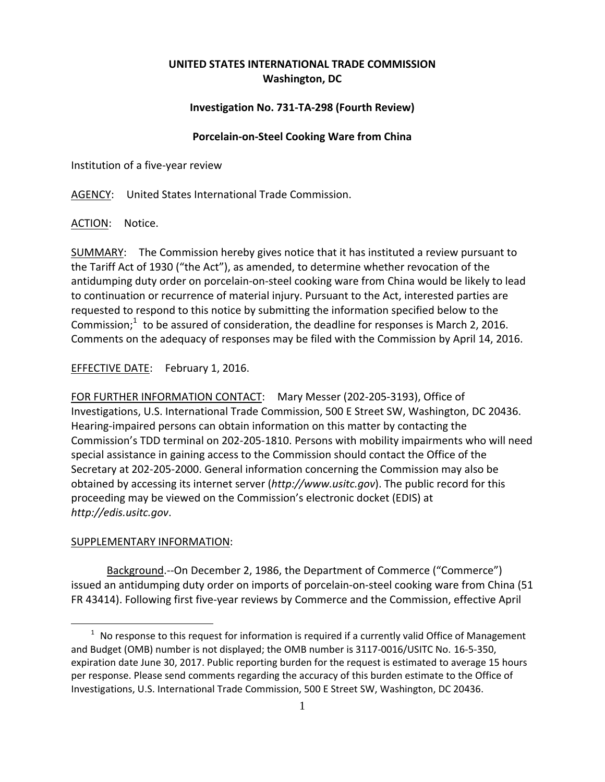## **UNITED STATES INTERNATIONAL TRADE COMMISSION Washington, DC**

## **Investigation No. 731‐TA‐298 (Fourth Review)**

## **Porcelain‐on‐Steel Cooking Ware from China**

Institution of a five‐year review

AGENCY: United States International Trade Commission.

ACTION: Notice.

SUMMARY: The Commission hereby gives notice that it has instituted a review pursuant to the Tariff Act of 1930 ("the Act"), as amended, to determine whether revocation of the antidumping duty order on porcelain‐on‐steel cooking ware from China would be likely to lead to continuation or recurrence of material injury. Pursuant to the Act, interested parties are requested to respond to this notice by submitting the information specified below to the Commission; $1$  to be assured of consideration, the deadline for responses is March 2, 2016. Comments on the adequacy of responses may be filed with the Commission by April 14, 2016.

EFFECTIVE DATE: February 1, 2016.

FOR FURTHER INFORMATION CONTACT: Mary Messer (202‐205‐3193), Office of Investigations, U.S. International Trade Commission, 500 E Street SW, Washington, DC 20436. Hearing‐impaired persons can obtain information on this matter by contacting the Commission's TDD terminal on 202‐205‐1810. Persons with mobility impairments who will need special assistance in gaining access to the Commission should contact the Office of the Secretary at 202‐205‐2000. General information concerning the Commission may also be obtained by accessing its internet server (*http://www.usitc.gov*). The public record for this proceeding may be viewed on the Commission's electronic docket (EDIS) at *http://edis.usitc.gov*.

## SUPPLEMENTARY INFORMATION:

<u>.</u>

Background.‐‐On December 2, 1986, the Department of Commerce ("Commerce") issued an antidumping duty order on imports of porcelain-on-steel cooking ware from China (51 FR 43414). Following first five‐year reviews by Commerce and the Commission, effective April

 $1$  No response to this request for information is required if a currently valid Office of Management and Budget (OMB) number is not displayed; the OMB number is 3117‐0016/USITC No. 16‐5‐350, expiration date June 30, 2017. Public reporting burden for the request is estimated to average 15 hours per response. Please send comments regarding the accuracy of this burden estimate to the Office of Investigations, U.S. International Trade Commission, 500 E Street SW, Washington, DC 20436.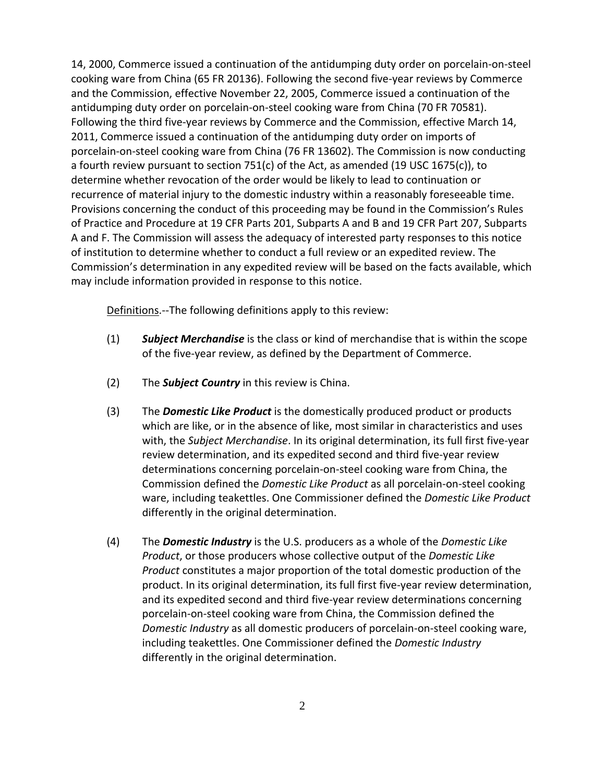14, 2000, Commerce issued a continuation of the antidumping duty order on porcelain‐on‐steel cooking ware from China (65 FR 20136). Following the second five‐year reviews by Commerce and the Commission, effective November 22, 2005, Commerce issued a continuation of the antidumping duty order on porcelain‐on‐steel cooking ware from China (70 FR 70581). Following the third five-year reviews by Commerce and the Commission, effective March 14, 2011, Commerce issued a continuation of the antidumping duty order on imports of porcelain‐on‐steel cooking ware from China (76 FR 13602). The Commission is now conducting a fourth review pursuant to section 751(c) of the Act, as amended (19 USC 1675(c)), to determine whether revocation of the order would be likely to lead to continuation or recurrence of material injury to the domestic industry within a reasonably foreseeable time. Provisions concerning the conduct of this proceeding may be found in the Commission's Rules of Practice and Procedure at 19 CFR Parts 201, Subparts A and B and 19 CFR Part 207, Subparts A and F. The Commission will assess the adequacy of interested party responses to this notice of institution to determine whether to conduct a full review or an expedited review. The Commission's determination in any expedited review will be based on the facts available, which may include information provided in response to this notice.

Definitions. -- The following definitions apply to this review:

- (1) *Subject Merchandise* is the class or kind of merchandise that is within the scope of the five‐year review, as defined by the Department of Commerce.
- (2) The *Subject Country* in this review is China.
- (3) The *Domestic Like Product* is the domestically produced product or products which are like, or in the absence of like, most similar in characteristics and uses with, the *Subject Merchandise*. In its original determination, its full first five‐year review determination, and its expedited second and third five‐year review determinations concerning porcelain‐on‐steel cooking ware from China, the Commission defined the *Domestic Like Product* as all porcelain‐on‐steel cooking ware, including teakettles. One Commissioner defined the *Domestic Like Product* differently in the original determination.
- (4) The *Domestic Industry* is the U.S. producers as a whole of the *Domestic Like Product*, or those producers whose collective output of the *Domestic Like Product* constitutes a major proportion of the total domestic production of the product. In its original determination, its full first five‐year review determination, and its expedited second and third five‐year review determinations concerning porcelain‐on‐steel cooking ware from China, the Commission defined the *Domestic Industry* as all domestic producers of porcelain‐on‐steel cooking ware, including teakettles. One Commissioner defined the *Domestic Industry* differently in the original determination.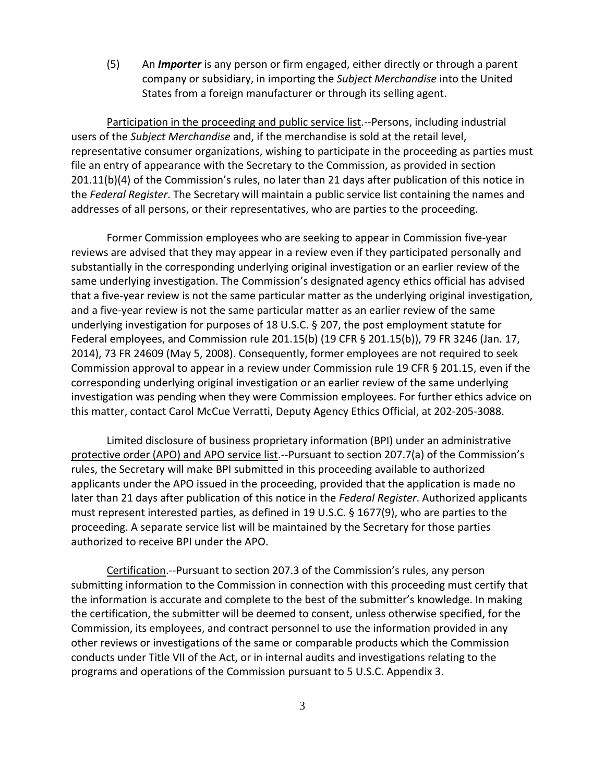(5) An *Importer* is any person or firm engaged, either directly or through a parent company or subsidiary, in importing the *Subject Merchandise* into the United States from a foreign manufacturer or through its selling agent.

Participation in the proceeding and public service list.‐‐Persons, including industrial users of the *Subject Merchandise* and, if the merchandise is sold at the retail level, representative consumer organizations, wishing to participate in the proceeding as parties must file an entry of appearance with the Secretary to the Commission, as provided in section 201.11(b)(4) of the Commission's rules, no later than 21 days after publication of this notice in the *Federal Register*. The Secretary will maintain a public service list containing the names and addresses of all persons, or their representatives, who are parties to the proceeding.

Former Commission employees who are seeking to appear in Commission five‐year reviews are advised that they may appear in a review even if they participated personally and substantially in the corresponding underlying original investigation or an earlier review of the same underlying investigation. The Commission's designated agency ethics official has advised that a five‐year review is not the same particular matter as the underlying original investigation, and a five‐year review is not the same particular matter as an earlier review of the same underlying investigation for purposes of 18 U.S.C. § 207, the post employment statute for Federal employees, and Commission rule 201.15(b) (19 CFR § 201.15(b)), 79 FR 3246 (Jan. 17, 2014), 73 FR 24609 (May 5, 2008). Consequently, former employees are not required to seek Commission approval to appear in a review under Commission rule 19 CFR § 201.15, even if the corresponding underlying original investigation or an earlier review of the same underlying investigation was pending when they were Commission employees. For further ethics advice on this matter, contact Carol McCue Verratti, Deputy Agency Ethics Official, at 202‐205‐3088.

Limited disclosure of business proprietary information (BPI) under an administrative protective order (APO) and APO service list.‐‐Pursuant to section 207.7(a) of the Commission's rules, the Secretary will make BPI submitted in this proceeding available to authorized applicants under the APO issued in the proceeding, provided that the application is made no later than 21 days after publication of this notice in the *Federal Register*. Authorized applicants must represent interested parties, as defined in 19 U.S.C. § 1677(9), who are parties to the proceeding. A separate service list will be maintained by the Secretary for those parties authorized to receive BPI under the APO.

Certification.‐‐Pursuant to section 207.3 of the Commission's rules, any person submitting information to the Commission in connection with this proceeding must certify that the information is accurate and complete to the best of the submitter's knowledge. In making the certification, the submitter will be deemed to consent, unless otherwise specified, for the Commission, its employees, and contract personnel to use the information provided in any other reviews or investigations of the same or comparable products which the Commission conducts under Title VII of the Act, or in internal audits and investigations relating to the programs and operations of the Commission pursuant to 5 U.S.C. Appendix 3.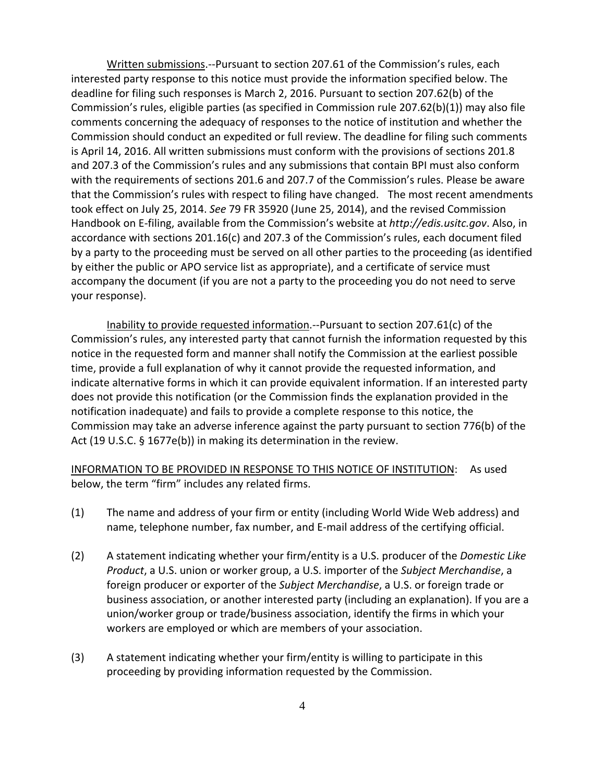Written submissions.‐‐Pursuant to section 207.61 of the Commission's rules, each interested party response to this notice must provide the information specified below. The deadline for filing such responses is March 2, 2016. Pursuant to section 207.62(b) of the Commission's rules, eligible parties (as specified in Commission rule 207.62(b)(1)) may also file comments concerning the adequacy of responses to the notice of institution and whether the Commission should conduct an expedited or full review. The deadline for filing such comments is April 14, 2016. All written submissions must conform with the provisions of sections 201.8 and 207.3 of the Commission's rules and any submissions that contain BPI must also conform with the requirements of sections 201.6 and 207.7 of the Commission's rules. Please be aware that the Commission's rules with respect to filing have changed. The most recent amendments took effect on July 25, 2014. *See* 79 FR 35920 (June 25, 2014), and the revised Commission Handbook on E‐filing, available from the Commission's website at *http://edis.usitc.gov*. Also, in accordance with sections 201.16(c) and 207.3 of the Commission's rules, each document filed by a party to the proceeding must be served on all other parties to the proceeding (as identified by either the public or APO service list as appropriate), and a certificate of service must accompany the document (if you are not a party to the proceeding you do not need to serve your response).

Inability to provide requested information.‐‐Pursuant to section 207.61(c) of the Commission's rules, any interested party that cannot furnish the information requested by this notice in the requested form and manner shall notify the Commission at the earliest possible time, provide a full explanation of why it cannot provide the requested information, and indicate alternative forms in which it can provide equivalent information. If an interested party does not provide this notification (or the Commission finds the explanation provided in the notification inadequate) and fails to provide a complete response to this notice, the Commission may take an adverse inference against the party pursuant to section 776(b) of the Act (19 U.S.C. § 1677e(b)) in making its determination in the review.

INFORMATION TO BE PROVIDED IN RESPONSE TO THIS NOTICE OF INSTITUTION: As used below, the term "firm" includes any related firms.

- (1) The name and address of your firm or entity (including World Wide Web address) and name, telephone number, fax number, and E‐mail address of the certifying official.
- (2) A statement indicating whether your firm/entity is a U.S. producer of the *Domestic Like Product*, a U.S. union or worker group, a U.S. importer of the *Subject Merchandise*, a foreign producer or exporter of the *Subject Merchandise*, a U.S. or foreign trade or business association, or another interested party (including an explanation). If you are a union/worker group or trade/business association, identify the firms in which your workers are employed or which are members of your association.
- (3) A statement indicating whether your firm/entity is willing to participate in this proceeding by providing information requested by the Commission.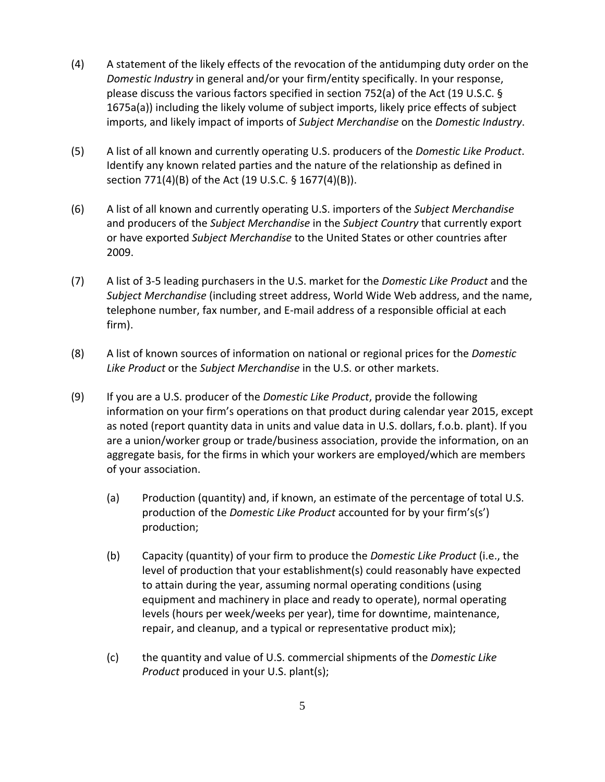- (4) A statement of the likely effects of the revocation of the antidumping duty order on the *Domestic Industry* in general and/or your firm/entity specifically. In your response, please discuss the various factors specified in section 752(a) of the Act (19 U.S.C. § 1675a(a)) including the likely volume of subject imports, likely price effects of subject imports, and likely impact of imports of *Subject Merchandise* on the *Domestic Industry*.
- (5) A list of all known and currently operating U.S. producers of the *Domestic Like Product*. Identify any known related parties and the nature of the relationship as defined in section 771(4)(B) of the Act (19 U.S.C. § 1677(4)(B)).
- (6) A list of all known and currently operating U.S. importers of the *Subject Merchandise* and producers of the *Subject Merchandise* in the *Subject Country* that currently export or have exported *Subject Merchandise* to the United States or other countries after 2009.
- (7) A list of 3‐5 leading purchasers in the U.S. market for the *Domestic Like Product* and the *Subject Merchandise* (including street address, World Wide Web address, and the name, telephone number, fax number, and E‐mail address of a responsible official at each firm).
- (8) A list of known sources of information on national or regional prices for the *Domestic Like Product* or the *Subject Merchandise* in the U.S. or other markets.
- (9) If you are a U.S. producer of the *Domestic Like Product*, provide the following information on your firm's operations on that product during calendar year 2015, except as noted (report quantity data in units and value data in U.S. dollars, f.o.b. plant). If you are a union/worker group or trade/business association, provide the information, on an aggregate basis, for the firms in which your workers are employed/which are members of your association.
	- (a) Production (quantity) and, if known, an estimate of the percentage of total U.S. production of the *Domestic Like Product* accounted for by your firm's(s') production;
	- (b) Capacity (quantity) of your firm to produce the *Domestic Like Product* (i.e., the level of production that your establishment(s) could reasonably have expected to attain during the year, assuming normal operating conditions (using equipment and machinery in place and ready to operate), normal operating levels (hours per week/weeks per year), time for downtime, maintenance, repair, and cleanup, and a typical or representative product mix);
	- (c) the quantity and value of U.S. commercial shipments of the *Domestic Like Product* produced in your U.S. plant(s);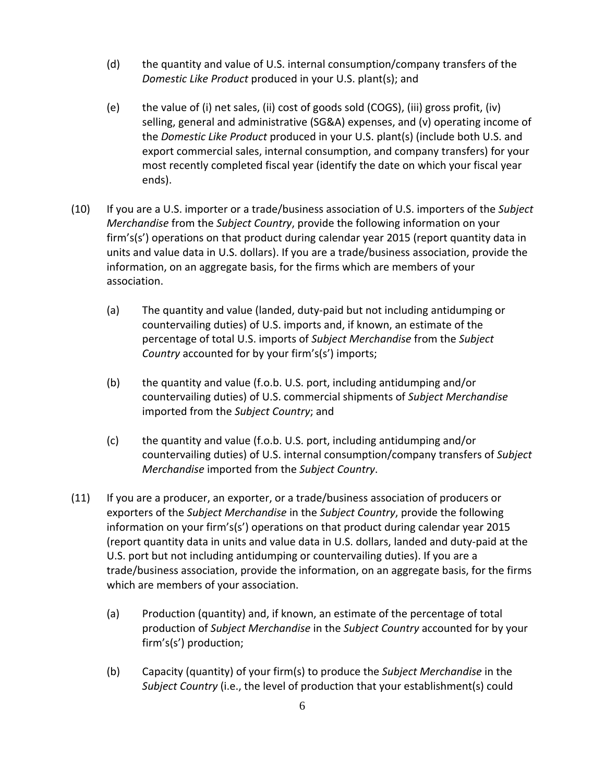- (d) the quantity and value of U.S. internal consumption/company transfers of the *Domestic Like Product* produced in your U.S. plant(s); and
- (e) the value of (i) net sales, (ii) cost of goods sold (COGS), (iii) gross profit, (iv) selling, general and administrative (SG&A) expenses, and (v) operating income of the *Domestic Like Product* produced in your U.S. plant(s) (include both U.S. and export commercial sales, internal consumption, and company transfers) for your most recently completed fiscal year (identify the date on which your fiscal year ends).
- (10) If you are a U.S. importer or a trade/business association of U.S. importers of the *Subject Merchandise* from the *Subject Country*, provide the following information on your firm's(s') operations on that product during calendar year 2015 (report quantity data in units and value data in U.S. dollars). If you are a trade/business association, provide the information, on an aggregate basis, for the firms which are members of your association.
	- (a) The quantity and value (landed, duty‐paid but not including antidumping or countervailing duties) of U.S. imports and, if known, an estimate of the percentage of total U.S. imports of *Subject Merchandise* from the *Subject Country* accounted for by your firm's(s') imports;
	- (b) the quantity and value (f.o.b. U.S. port, including antidumping and/or countervailing duties) of U.S. commercial shipments of *Subject Merchandise* imported from the *Subject Country*; and
	- (c) the quantity and value (f.o.b. U.S. port, including antidumping and/or countervailing duties) of U.S. internal consumption/company transfers of *Subject Merchandise* imported from the *Subject Country*.
- (11) If you are a producer, an exporter, or a trade/business association of producers or exporters of the *Subject Merchandise* in the *Subject Country*, provide the following information on your firm's(s') operations on that product during calendar year 2015 (report quantity data in units and value data in U.S. dollars, landed and duty‐paid at the U.S. port but not including antidumping or countervailing duties). If you are a trade/business association, provide the information, on an aggregate basis, for the firms which are members of your association.
	- (a) Production (quantity) and, if known, an estimate of the percentage of total production of *Subject Merchandise* in the *Subject Country* accounted for by your firm's(s') production;
	- (b) Capacity (quantity) of your firm(s) to produce the *Subject Merchandise* in the *Subject Country* (i.e., the level of production that your establishment(s) could